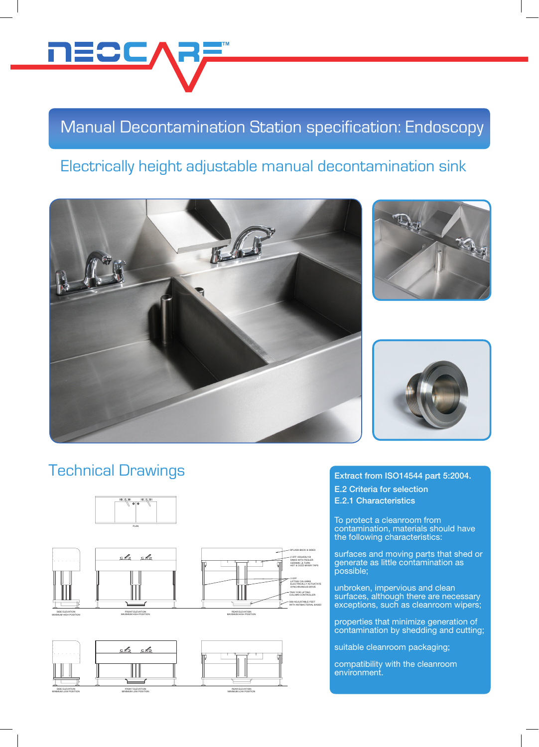

# Manual Decontamination Station specification: Endoscopy

3 OFF LIFTING COLUMNS ELECTRICALLY ACTUATATE SYNCHRONOUS DRIVE TRAY FOR LIFTING COLUMN CONTROLLER

2 OFF 450x450x150 SINKS WITH PEGLER<br>CERAMIC X TURN<br>HOT & COLD MIXER TAPS SPLASH-BACK & SIDES

StSt ADJUSTABLE FEET WITH ANTIBACTERIAL BASES

### Electrically height adjustable manual decontamination sink







### Technical Drawings





#### Extract from ISO14544 part 5:2004. E.2 Criteria for selection E.2.1 Characteristics

To protect a cleanroom from contamination, materials should have the following characteristics:

surfaces and moving parts that shed or generate as little contamination as possible;

Parlaces unbroken, impervious and clean surfaces, although there are necessary exceptions, such as cleanroom wipers;

rcontam properties that minimize generation of contamination by shedding and cutting;

suitable cleanroom packaging;

compatibility with the cleanroom environment.